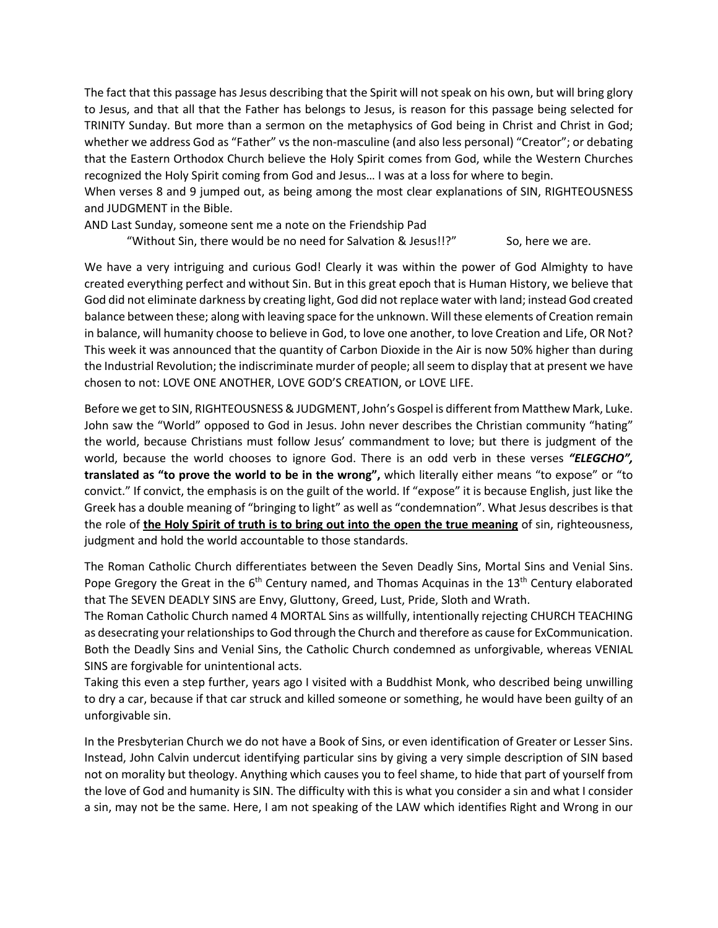The fact that this passage has Jesus describing that the Spirit will not speak on his own, but will bring glory to Jesus, and that all that the Father has belongs to Jesus, is reason for this passage being selected for TRINITY Sunday. But more than a sermon on the metaphysics of God being in Christ and Christ in God; whether we address God as "Father" vs the non-masculine (and also less personal) "Creator"; or debating that the Eastern Orthodox Church believe the Holy Spirit comes from God, while the Western Churches recognized the Holy Spirit coming from God and Jesus… I was at a loss for where to begin.

When verses 8 and 9 jumped out, as being among the most clear explanations of SIN, RIGHTEOUSNESS and JUDGMENT in the Bible.

AND Last Sunday, someone sent me a note on the Friendship Pad

"Without Sin, there would be no need for Salvation & Jesus!!?" So, here we are.

We have a very intriguing and curious God! Clearly it was within the power of God Almighty to have created everything perfect and without Sin. But in this great epoch that is Human History, we believe that God did not eliminate darkness by creating light, God did not replace water with land; instead God created balance between these; along with leaving space for the unknown. Will these elements of Creation remain in balance, will humanity choose to believe in God, to love one another, to love Creation and Life, OR Not? This week it was announced that the quantity of Carbon Dioxide in the Air is now 50% higher than during the Industrial Revolution; the indiscriminate murder of people; all seem to display that at present we have chosen to not: LOVE ONE ANOTHER, LOVE GOD'S CREATION, or LOVE LIFE.

Before we get to SIN, RIGHTEOUSNESS & JUDGMENT, John's Gospel is different from Matthew Mark, Luke. John saw the "World" opposed to God in Jesus. John never describes the Christian community "hating" the world, because Christians must follow Jesus' commandment to love; but there is judgment of the world, because the world chooses to ignore God. There is an odd verb in these verses *"ELEGCHO",*  **translated as "to prove the world to be in the wrong",** which literally either means "to expose" or "to convict." If convict, the emphasis is on the guilt of the world. If "expose" it is because English, just like the Greek has a double meaning of "bringing to light" as well as "condemnation". What Jesus describes is that the role of **the Holy Spirit of truth is to bring out into the open the true meaning** of sin, righteousness, judgment and hold the world accountable to those standards.

The Roman Catholic Church differentiates between the Seven Deadly Sins, Mortal Sins and Venial Sins. Pope Gregory the Great in the  $6<sup>th</sup>$  Century named, and Thomas Acquinas in the 13<sup>th</sup> Century elaborated that The SEVEN DEADLY SINS are Envy, Gluttony, Greed, Lust, Pride, Sloth and Wrath.

The Roman Catholic Church named 4 MORTAL Sins as willfully, intentionally rejecting CHURCH TEACHING as desecrating your relationships to God through the Church and therefore as cause for ExCommunication. Both the Deadly Sins and Venial Sins, the Catholic Church condemned as unforgivable, whereas VENIAL SINS are forgivable for unintentional acts.

Taking this even a step further, years ago I visited with a Buddhist Monk, who described being unwilling to dry a car, because if that car struck and killed someone or something, he would have been guilty of an unforgivable sin.

In the Presbyterian Church we do not have a Book of Sins, or even identification of Greater or Lesser Sins. Instead, John Calvin undercut identifying particular sins by giving a very simple description of SIN based not on morality but theology. Anything which causes you to feel shame, to hide that part of yourself from the love of God and humanity is SIN. The difficulty with this is what you consider a sin and what I consider a sin, may not be the same. Here, I am not speaking of the LAW which identifies Right and Wrong in our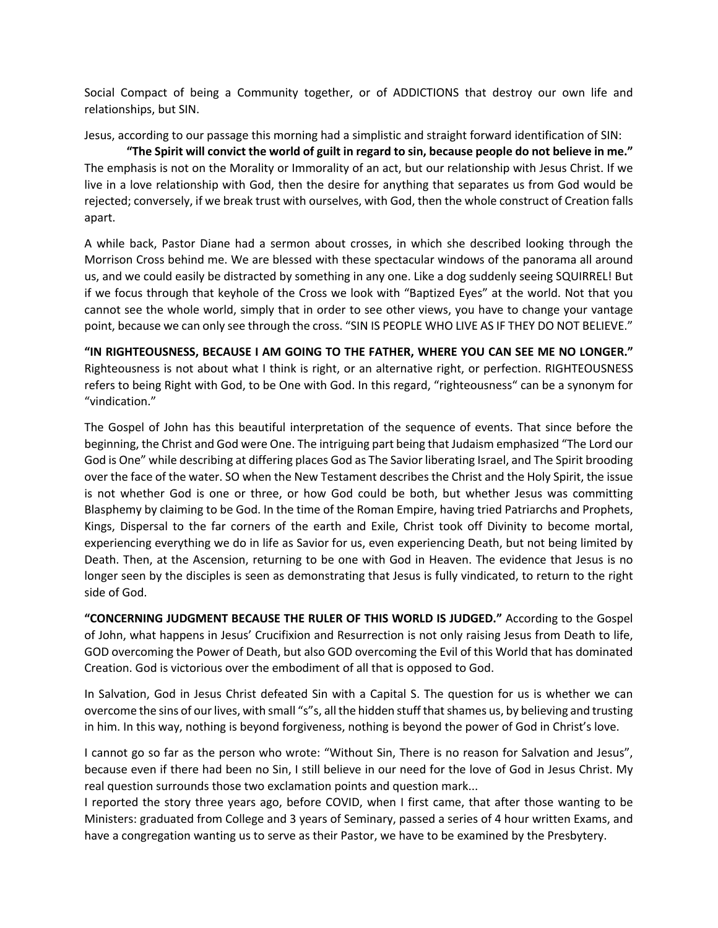Social Compact of being a Community together, or of ADDICTIONS that destroy our own life and relationships, but SIN.

Jesus, according to our passage this morning had a simplistic and straight forward identification of SIN:

**"The Spirit will convict the world of guilt in regard to sin, because people do not believe in me."** The emphasis is not on the Morality or Immorality of an act, but our relationship with Jesus Christ. If we live in a love relationship with God, then the desire for anything that separates us from God would be rejected; conversely, if we break trust with ourselves, with God, then the whole construct of Creation falls apart.

A while back, Pastor Diane had a sermon about crosses, in which she described looking through the Morrison Cross behind me. We are blessed with these spectacular windows of the panorama all around us, and we could easily be distracted by something in any one. Like a dog suddenly seeing SQUIRREL! But if we focus through that keyhole of the Cross we look with "Baptized Eyes" at the world. Not that you cannot see the whole world, simply that in order to see other views, you have to change your vantage point, because we can only see through the cross. "SIN IS PEOPLE WHO LIVE AS IF THEY DO NOT BELIEVE."

**"IN RIGHTEOUSNESS, BECAUSE I AM GOING TO THE FATHER, WHERE YOU CAN SEE ME NO LONGER."** Righteousness is not about what I think is right, or an alternative right, or perfection. RIGHTEOUSNESS refers to being Right with God, to be One with God. In this regard, "righteousness" can be a synonym for "vindication."

The Gospel of John has this beautiful interpretation of the sequence of events. That since before the beginning, the Christ and God were One. The intriguing part being that Judaism emphasized "The Lord our God is One" while describing at differing places God as The Savior liberating Israel, and The Spirit brooding over the face of the water. SO when the New Testament describes the Christ and the Holy Spirit, the issue is not whether God is one or three, or how God could be both, but whether Jesus was committing Blasphemy by claiming to be God. In the time of the Roman Empire, having tried Patriarchs and Prophets, Kings, Dispersal to the far corners of the earth and Exile, Christ took off Divinity to become mortal, experiencing everything we do in life as Savior for us, even experiencing Death, but not being limited by Death. Then, at the Ascension, returning to be one with God in Heaven. The evidence that Jesus is no longer seen by the disciples is seen as demonstrating that Jesus is fully vindicated, to return to the right side of God.

**"CONCERNING JUDGMENT BECAUSE THE RULER OF THIS WORLD IS JUDGED."** According to the Gospel of John, what happens in Jesus' Crucifixion and Resurrection is not only raising Jesus from Death to life, GOD overcoming the Power of Death, but also GOD overcoming the Evil of this World that has dominated Creation. God is victorious over the embodiment of all that is opposed to God.

In Salvation, God in Jesus Christ defeated Sin with a Capital S. The question for us is whether we can overcome the sins of our lives, with small "s"s, all the hidden stuff that shames us, by believing and trusting in him. In this way, nothing is beyond forgiveness, nothing is beyond the power of God in Christ's love.

I cannot go so far as the person who wrote: "Without Sin, There is no reason for Salvation and Jesus", because even if there had been no Sin, I still believe in our need for the love of God in Jesus Christ. My real question surrounds those two exclamation points and question mark...

I reported the story three years ago, before COVID, when I first came, that after those wanting to be Ministers: graduated from College and 3 years of Seminary, passed a series of 4 hour written Exams, and have a congregation wanting us to serve as their Pastor, we have to be examined by the Presbytery.